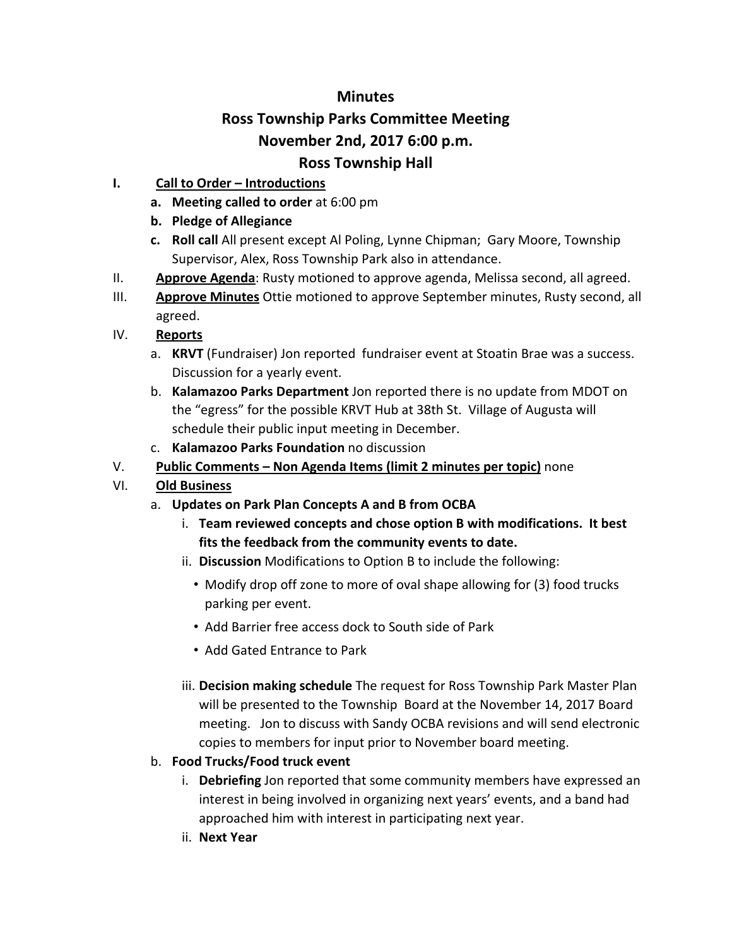# **Minutes Ross Township Parks Committee Meeting November 2nd, 2017 6:00 p.m. Ross Township Hall**

## **I. Call to Order – Introductions**

- **a. Meeting called to order** at 6:00 pm
- **b. Pledge of Allegiance**
- **c. Roll call** All present except Al Poling, Lynne Chipman; Gary Moore, Township Supervisor, Alex, Ross Township Park also in attendance.
- II. **Approve Agenda**: Rusty motioned to approve agenda, Melissa second, all agreed.
- III. **Approve Minutes** Ottie motioned to approve September minutes, Rusty second, all agreed.

## IV. **Reports**

- a. **KRVT** (Fundraiser) Jon reported fundraiser event at Stoatin Brae was a success. Discussion for a yearly event.
- b. **Kalamazoo Parks Department** Jon reported there is no update from MDOT on the "egress" for the possible KRVT Hub at 38th St. Village of Augusta will schedule their public input meeting in December.
- c. **Kalamazoo Parks Foundation** no discussion
- V. **Public Comments – Non Agenda Items (limit 2 minutes per topic)** none

## VI. **Old Business**

- a. **Updates on Park Plan Concepts A and B from OCBA**
	- i. **Team reviewed concepts and chose option B with modifications. It best fits the feedback from the community events to date.**
	- ii. **Discussion** Modifications to Option B to include the following:
		- Modify drop off zone to more of oval shape allowing for (3) food trucks parking per event.
		- Add Barrier free access dock to South side of Park
		- Add Gated Entrance to Park
	- iii. **Decision making schedule** The request for Ross Township Park Master Plan will be presented to the Township Board at the November 14, 2017 Board meeting. Jon to discuss with Sandy OCBA revisions and will send electronic copies to members for input prior to November board meeting.

## b. **Food Trucks/Food truck event**

- i. **Debriefing** Jon reported that some community members have expressed an interest in being involved in organizing next years' events, and a band had approached him with interest in participating next year.
- ii. **Next Year**